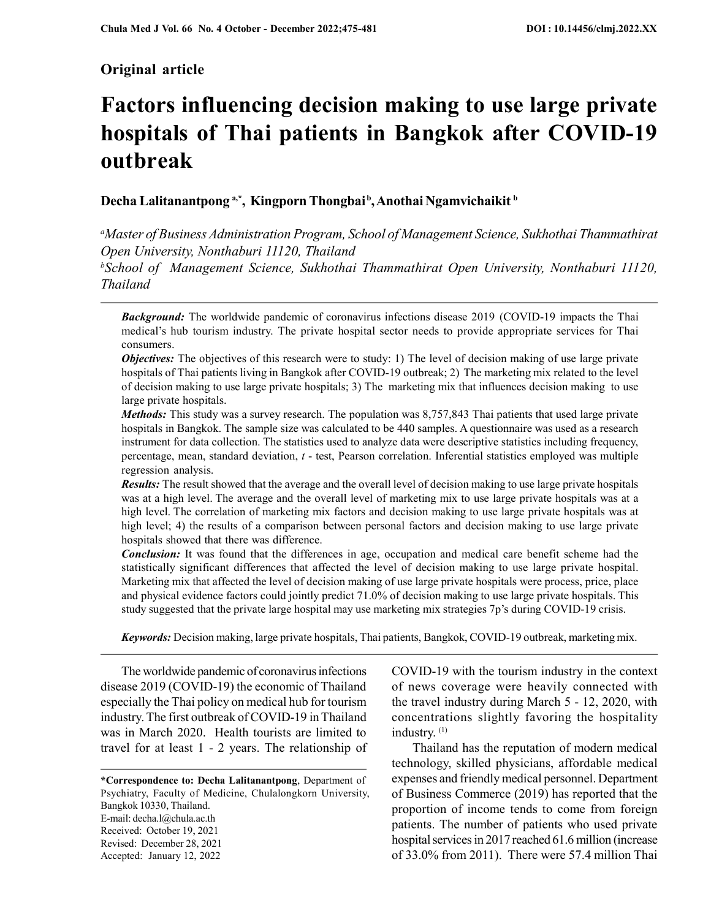# Original article

# Factors influencing decision making to use large private hospitals of Thai patients in Bangkok after COVID-19 outbreak

Decha Lalitanantpong<sup>a,\*</sup>, Kingporn Thongbai<sup>b</sup>, Anothai Ngamvichaikit b

<sup>a</sup>Master of Business Administration Program, School of Management Science, Sukhothai Thammathirat Open University, Nonthaburi 11120, Thailand

 $b$ School of Management Science, Sukhothai Thammathirat Open University, Nonthaburi 11120, Thailand

**Background:** The worldwide pandemic of coronavirus infections disease 2019 (COVID-19 impacts the Thai medical's hub tourism industry. The private hospital sector needs to provide appropriate services for Thai consumers.

**Objectives:** The objectives of this research were to study: 1) The level of decision making of use large private hospitals of Thai patients living in Bangkok after COVID-19 outbreak; 2) The marketing mix related to the level of decision making to use large private hospitals; 3) The marketing mix that influences decision making to use large private hospitals.

Methods: This study was a survey research. The population was 8,757,843 Thai patients that used large private hospitals in Bangkok. The sample size was calculated to be 440 samples. A questionnaire was used as a research instrument for data collection. The statistics used to analyze data were descriptive statistics including frequency, percentage, mean, standard deviation,  $t$  - test, Pearson correlation. Inferential statistics employed was multiple regression analysis.

Results: The result showed that the average and the overall level of decision making to use large private hospitals was at a high level. The average and the overall level of marketing mix to use large private hospitals was at a high level. The correlation of marketing mix factors and decision making to use large private hospitals was at high level; 4) the results of a comparison between personal factors and decision making to use large private hospitals showed that there was difference.

**Conclusion:** It was found that the differences in age, occupation and medical care benefit scheme had the statistically significant differences that affected the level of decision making to use large private hospital. Marketing mix that affected the level of decision making of use large private hospitals were process, price, place and physical evidence factors could jointly predict 71.0% of decision making to use large private hospitals. This study suggested that the private large hospital may use marketing mix strategies 7p's during COVID-19 crisis.

Keywords: Decision making, large private hospitals, Thai patients, Bangkok, COVID-19 outbreak, marketing mix.

The worldwide pandemic of coronavirus infections disease 2019 (COVID-19) the economic of Thailand especially the Thai policy on medical hub for tourism industry. The first outbreak of COVID-19 in Thailand was in March 2020. Health tourists are limited to travel for at least 1 - 2 years. The relationship of

\*Correspondence to: Decha Lalitanantpong, Department of Psychiatry, Faculty of Medicine, Chulalongkorn University, Bangkok 10330, Thailand. E-mail: decha.l@chula.ac.th Received: October 19, 2021 Revised: December 28, 2021 Accepted: January 12, 2022

COVID-19 with the tourism industry in the context of news coverage were heavily connected with the travel industry during March 5 - 12, 2020, with concentrations slightly favoring the hospitality industry. (1)

Thailand has the reputation of modern medical technology, skilled physicians, affordable medical expenses and friendly medical personnel. Department of Business Commerce (2019) has reported that the proportion of income tends to come from foreign patients. The number of patients who used private hospital services in 2017 reached 61.6 million (increase of 33.0% from 2011). There were 57.4 million Thai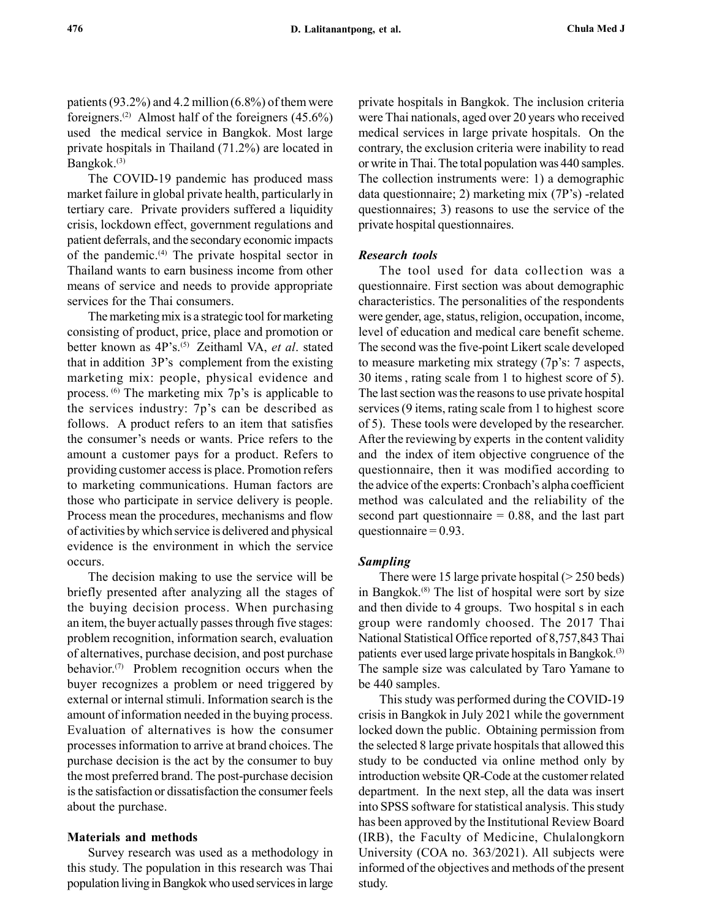patients (93.2%) and 4.2 million  $(6.8\%)$  of them were foreigners.<sup>(2)</sup> Almost half of the foreigners  $(45.6\%)$ used the medical service in Bangkok. Most large private hospitals in Thailand (71.2%) are located in Bangkok.(3)

The COVID-19 pandemic has produced mass market failure in global private health, particularly in tertiary care. Private providers suffered a liquidity crisis, lockdown effect, government regulations and patient deferrals, and the secondary economic impacts of the pandemic.<sup>(4)</sup> The private hospital sector in Thailand wants to earn business income from other means of service and needs to provide appropriate services for the Thai consumers.

The marketing mix is a strategic tool for marketing consisting of product, price, place and promotion or better known as 4P's.<sup>(5)</sup> Zeithaml VA, et al. stated that in addition 3P's complement from the existing marketing mix: people, physical evidence and process. (6) The marketing mix 7p's is applicable to the services industry: 7p's can be described as follows. A product refers to an item that satisfies the consumer's needs or wants. Price refers to the amount a customer pays for a product. Refers to providing customer access is place. Promotion refers to marketing communications. Human factors are those who participate in service delivery is people. Process mean the procedures, mechanisms and flow of activities by which service is delivered and physical evidence is the environment in which the service occurs.

The decision making to use the service will be briefly presented after analyzing all the stages of the buying decision process. When purchasing an item, the buyer actually passes through five stages: problem recognition, information search, evaluation of alternatives, purchase decision, and post purchase behavior.(7) Problem recognition occurs when the buyer recognizes a problem or need triggered by external or internal stimuli. Information search is the amount of information needed in the buying process. Evaluation of alternatives is how the consumer processes information to arrive at brand choices. The purchase decision is the act by the consumer to buy the most preferred brand. The post-purchase decision is the satisfaction or dissatisfaction the consumer feels about the purchase.

#### Materials and methods

Survey research was used as a methodology in this study. The population in this research was Thai population living in Bangkok who used services in large private hospitals in Bangkok. The inclusion criteria were Thai nationals, aged over 20 years who received medical services in large private hospitals. On the contrary, the exclusion criteria were inability to read or write in Thai. The total population was 440 samples. The collection instruments were: 1) a demographic data questionnaire; 2) marketing mix (7P's) -related questionnaires; 3) reasons to use the service of the private hospital questionnaires.

## Research tools

The tool used for data collection was a questionnaire. First section was about demographic characteristics. The personalities of the respondents were gender, age, status, religion, occupation, income, level of education and medical care benefit scheme. The second was the five-point Likert scale developed to measure marketing mix strategy (7p's: 7 aspects, 30 items , rating scale from 1 to highest score of 5). The last section was the reasons to use private hospital services (9 items, rating scale from 1 to highest score of 5). These tools were developed by the researcher. After the reviewing by experts in the content validity and the index of item objective congruence of the questionnaire, then it was modified according to the advice of the experts: Cronbach's alpha coefficient method was calculated and the reliability of the second part questionnaire  $= 0.88$ , and the last part questionnaire  $= 0.93$ .

#### Sampling

There were 15 large private hospital  $(> 250$  beds) in Bangkok.<sup>(8)</sup> The list of hospital were sort by size and then divide to 4 groups. Two hospital s in each group were randomly choosed. The 2017 Thai National Statistical Office reported of 8,757,843 Thai patients ever used large private hospitals in Bangkok.(3) The sample size was calculated by Taro Yamane to be 440 samples.

This study was performed during the COVID-19 crisis in Bangkok in July 2021 while the government locked down the public. Obtaining permission from the selected 8 large private hospitals that allowed this study to be conducted via online method only by introduction website QR-Code at the customer related department. In the next step, all the data was insert into SPSS software for statistical analysis. This study has been approved by the Institutional Review Board (IRB), the Faculty of Medicine, Chulalongkorn University (COA no. 363/2021). All subjects were informed of the objectives and methods of the present study.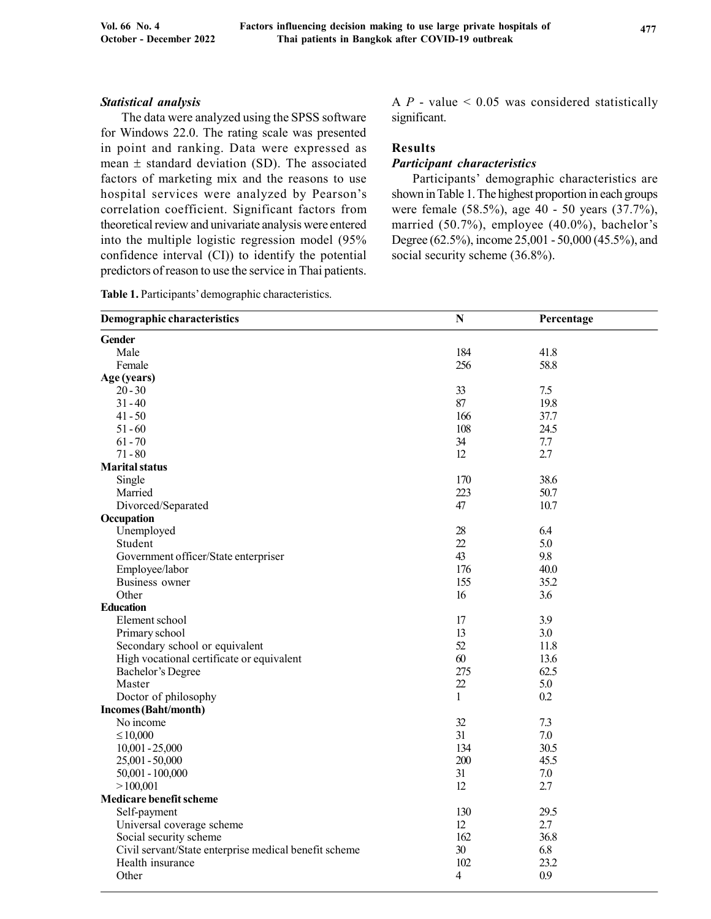## Statistical analysis

The data were analyzed using the SPSS software for Windows 22.0. The rating scale was presented in point and ranking. Data were expressed as mean  $\pm$  standard deviation (SD). The associated factors of marketing mix and the reasons to use hospital services were analyzed by Pearson's correlation coefficient. Significant factors from theoretical review and univariate analysis were entered into the multiple logistic regression model (95% confidence interval (CI)) to identify the potential predictors of reason to use the service in Thai patients.

|  | Table 1. Participants' demographic characteristics. |
|--|-----------------------------------------------------|
|  |                                                     |

A  $P$  - value  $\leq$  0.05 was considered statistically significant.

# Results

#### Participant characteristics

Participants' demographic characteristics are shown in Table 1. The highest proportion in each groups were female (58.5%), age 40 - 50 years (37.7%), married (50.7%), employee (40.0%), bachelor's Degree (62.5%), income 25,001 - 50,000 (45.5%), and social security scheme (36.8%).

| Demographic characteristics                           | $\mathbf N$  | Percentage |  |
|-------------------------------------------------------|--------------|------------|--|
| <b>Gender</b>                                         |              |            |  |
| Male                                                  | 184          | 41.8       |  |
| Female                                                | 256          | 58.8       |  |
| Age (years)                                           |              |            |  |
| $20 - 30$                                             | 33           | 7.5        |  |
| $31 - 40$                                             | 87           | 19.8       |  |
| $41 - 50$                                             | 166          | 37.7       |  |
| $51 - 60$                                             | 108          | 24.5       |  |
| $61 - 70$                                             | 34           | 7.7        |  |
| $71 - 80$                                             | 12           | 2.7        |  |
| <b>Marital status</b>                                 |              |            |  |
| Single                                                | 170          | 38.6       |  |
| Married                                               | 223          | 50.7       |  |
| Divorced/Separated                                    | 47           | 10.7       |  |
| Occupation                                            |              |            |  |
| Unemployed                                            | 28           | 6.4        |  |
| Student                                               | 22           | 5.0        |  |
| Government officer/State enterpriser                  | 43           | 9.8        |  |
| Employee/labor                                        | 176          | 40.0       |  |
| Business owner                                        | 155          | 35.2       |  |
| Other                                                 | 16           | 3.6        |  |
| <b>Education</b>                                      |              |            |  |
| Element school                                        | 17           | 3.9        |  |
| Primary school                                        | 13           | 3.0        |  |
| Secondary school or equivalent                        | 52           | 11.8       |  |
| High vocational certificate or equivalent             | 60           | 13.6       |  |
| Bachelor's Degree                                     | 275          | 62.5       |  |
| Master                                                | 22           | 5.0        |  |
| Doctor of philosophy                                  | $\mathbf{1}$ | 0.2        |  |
| <b>Incomes (Baht/month)</b>                           |              |            |  |
| No income                                             | 32           | 7.3        |  |
| $\leq 10,000$                                         | 31           | 7.0        |  |
| $10,001 - 25,000$                                     | 134          | 30.5       |  |
| 25,001 - 50,000                                       | 200          | 45.5       |  |
| $50,001 - 100,000$                                    | 31           | 7.0        |  |
| >100,001                                              | 12           | 2.7        |  |
| <b>Medicare benefit scheme</b>                        |              |            |  |
| Self-payment                                          | 130          | 29.5       |  |
| Universal coverage scheme                             | 12           | 2.7        |  |
| Social security scheme                                | 162          | 36.8       |  |
| Civil servant/State enterprise medical benefit scheme | 30           | 6.8        |  |
| Health insurance                                      | 102          | 23.2       |  |
| Other                                                 | 4            | 0.9        |  |
|                                                       |              |            |  |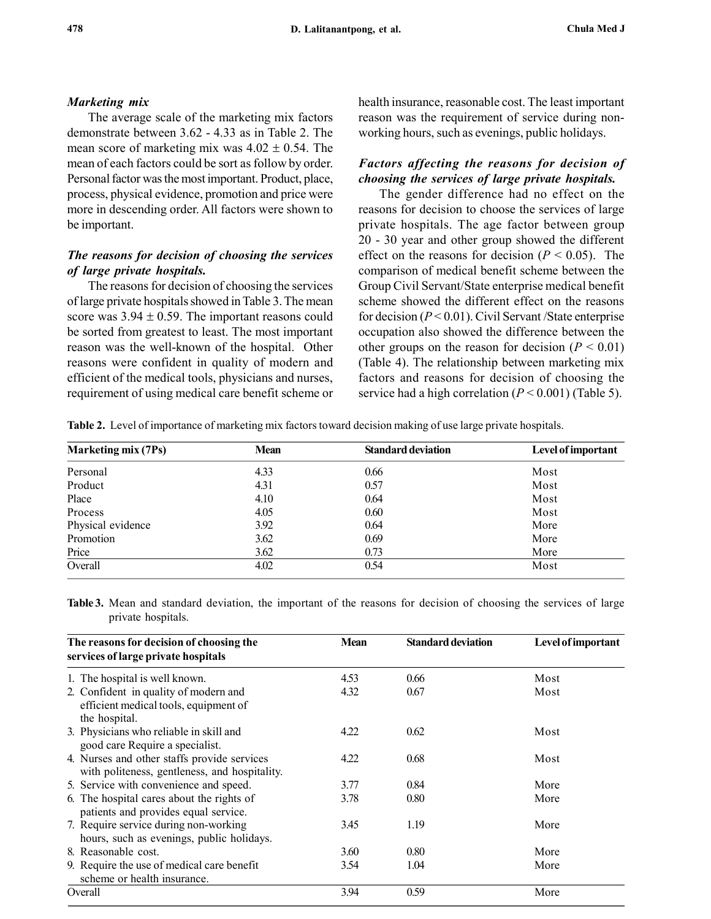## Marketing mix

The average scale of the marketing mix factors demonstrate between 3.62 - 4.33 as in Table 2. The mean score of marketing mix was  $4.02 \pm 0.54$ . The mean of each factors could be sort as follow by order. Personal factor was the most important. Product, place, process, physical evidence, promotion and price were more in descending order. All factors were shown to be important.

# The reasons for decision of choosing the services of large private hospitals.

The reasons for decision of choosing the services of large private hospitals showed in Table 3. The mean score was  $3.94 \pm 0.59$ . The important reasons could be sorted from greatest to least. The most important reason was the well-known of the hospital. Other reasons were confident in quality of modern and efficient of the medical tools, physicians and nurses, requirement of using medical care benefit scheme or health insurance, reasonable cost. The least important reason was the requirement of service during nonworking hours, such as evenings, public holidays.

# Factors affecting the reasons for decision of choosing the services of large private hospitals.

The gender difference had no effect on the reasons for decision to choose the services of large private hospitals. The age factor between group 20 - 30 year and other group showed the different effect on the reasons for decision ( $P < 0.05$ ). The comparison of medical benefit scheme between the Group Civil Servant/State enterprise medical benefit scheme showed the different effect on the reasons for decision ( $P < 0.01$ ). Civil Servant /State enterprise occupation also showed the difference between the other groups on the reason for decision ( $P < 0.01$ ) (Table 4). The relationship between marketing mix factors and reasons for decision of choosing the service had a high correlation  $(P < 0.001)$  (Table 5).

Table 2. Level of importance of marketing mix factors toward decision making of use large private hospitals.

| <b>Marketing mix (7Ps)</b> | Mean | <b>Standard deviation</b> | Level of important |
|----------------------------|------|---------------------------|--------------------|
| Personal                   | 4.33 | 0.66                      | Most               |
| Product                    | 4.31 | 0.57                      | Most               |
| Place                      | 4.10 | 0.64                      | Most               |
| Process                    | 4.05 | 0.60                      | Most               |
| Physical evidence          | 3.92 | 0.64                      | More               |
| Promotion                  | 3.62 | 0.69                      | More               |
| Price                      | 3.62 | 0.73                      | More               |
| Overall                    | 4.02 | 0.54                      | Most               |

Table 3. Mean and standard deviation, the important of the reasons for decision of choosing the services of large private hospitals.

| The reasons for decision of choosing the<br>services of large private hospitals                 | <b>Mean</b> | <b>Standard deviation</b> | Level of important |  |
|-------------------------------------------------------------------------------------------------|-------------|---------------------------|--------------------|--|
| 1. The hospital is well known.                                                                  | 4.53        | 0.66                      | Most               |  |
| 2. Confident in quality of modern and<br>efficient medical tools, equipment of<br>the hospital. | 4.32        | 0.67                      | Most               |  |
| 3. Physicians who reliable in skill and<br>good care Require a specialist.                      | 4.22        | 0.62                      | Most               |  |
| 4. Nurses and other staffs provide services<br>with politeness, gentleness, and hospitality.    | 4.22        | 0.68                      | Most               |  |
| 5. Service with convenience and speed.                                                          | 3.77        | 0.84                      | More               |  |
| 6. The hospital cares about the rights of<br>patients and provides equal service.               | 3.78        | 0.80                      | More               |  |
| 7. Require service during non-working<br>hours, such as evenings, public holidays.              | 3.45        | 1.19                      | More               |  |
| 8. Reasonable cost.                                                                             | 3.60        | 0.80                      | More               |  |
| 9. Require the use of medical care benefit<br>scheme or health insurance.                       | 3.54        | 1.04                      | More               |  |
| Overall                                                                                         | 3.94        | 0.59                      | More               |  |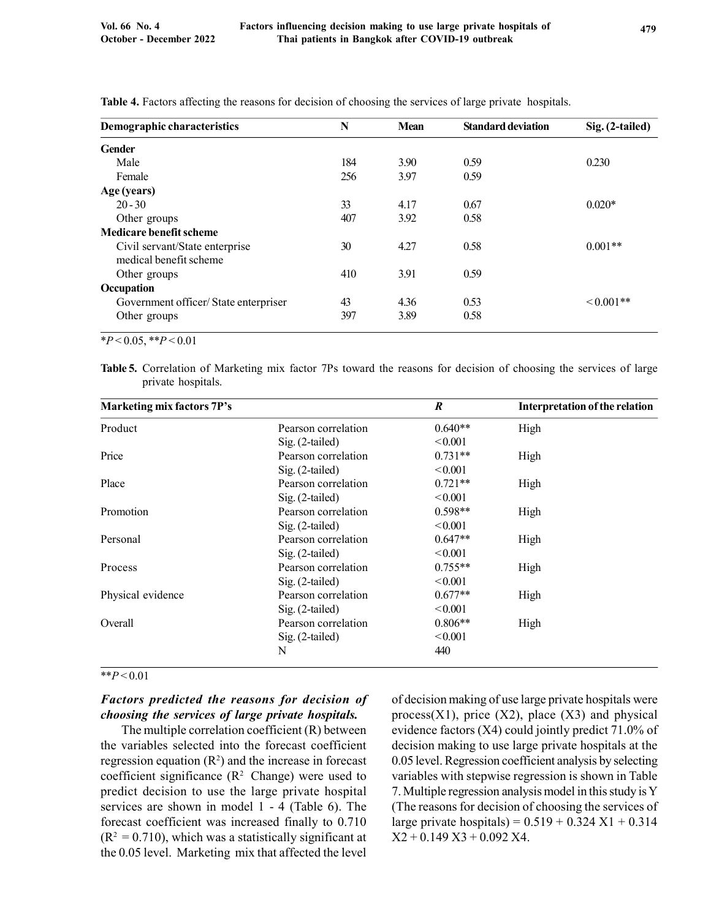| Demographic characteristics           | N   | <b>Mean</b> | <b>Standard deviation</b> | Sig. (2-tailed) |
|---------------------------------------|-----|-------------|---------------------------|-----------------|
| Gender                                |     |             |                           |                 |
| Male                                  | 184 | 3.90        | 0.59                      | 0.230           |
| Female                                | 256 | 3.97        | 0.59                      |                 |
| Age (years)                           |     |             |                           |                 |
| $20 - 30$                             | 33  | 4.17        | 0.67                      | $0.020*$        |
| Other groups                          | 407 | 3.92        | 0.58                      |                 |
| Medicare benefit scheme               |     |             |                           |                 |
| Civil servant/State enterprise        | 30  | 4.27        | 0.58                      | $0.001**$       |
| medical benefit scheme                |     |             |                           |                 |
| Other groups                          | 410 | 3.91        | 0.59                      |                 |
| Occupation                            |     |             |                           |                 |
| Government officer/ State enterpriser | 43  | 4.36        | 0.53                      | $\leq 0.001**$  |
| Other groups                          | 397 | 3.89        | 0.58                      |                 |

Table 4. Factors affecting the reasons for decision of choosing the services of large private hospitals.

 $*P < 0.05, **P < 0.01$ 

Table 5. Correlation of Marketing mix factor 7Ps toward the reasons for decision of choosing the services of large private hospitals.

| <b>Marketing mix factors 7P's</b> |                     | $\boldsymbol{R}$ | <b>Interpretation of the relation</b> |
|-----------------------------------|---------------------|------------------|---------------------------------------|
| Product                           | Pearson correlation | $0.640**$        | High                                  |
|                                   | $Sig. (2-tailed)$   | < 0.001          |                                       |
| Price                             | Pearson correlation | $0.731**$        | High                                  |
|                                   | $Sig. (2-tailed)$   | < 0.001          |                                       |
| Place                             | Pearson correlation | $0.721**$        | High                                  |
|                                   | $Sig. (2-tailed)$   | < 0.001          |                                       |
| Promotion                         | Pearson correlation | $0.598**$        | High                                  |
|                                   | $Sig. (2-tailed)$   | < 0.001          |                                       |
| Personal                          | Pearson correlation | $0.647**$        | High                                  |
|                                   | $Sig. (2-tailed)$   | < 0.001          |                                       |
| Process                           | Pearson correlation | $0.755**$        | High                                  |
|                                   | $Sig. (2-tailed)$   | < 0.001          |                                       |
| Physical evidence                 | Pearson correlation | $0.677**$        | High                                  |
|                                   | $Sig. (2-tailed)$   | < 0.001          |                                       |
| Overall                           | Pearson correlation | $0.806**$        | High                                  |
|                                   | $Sig. (2-tailed)$   | < 0.001          |                                       |
|                                   | N                   | 440              |                                       |

# $* p < 0.01$

# Factors predicted the reasons for decision of choosing the services of large private hospitals.

The multiple correlation coefficient (R) between the variables selected into the forecast coefficient regression equation  $(R^2)$  and the increase in forecast coefficient significance  $(R^2 \text{ Change})$  were used to predict decision to use the large private hospital services are shown in model 1 - 4 (Table 6). The forecast coefficient was increased finally to 0.710  $(R<sup>2</sup> = 0.710)$ , which was a statistically significant at the 0.05 level. Marketing mix that affected the level

of decision making of use large private hospitals were process $(X1)$ , price  $(X2)$ , place  $(X3)$  and physical evidence factors (X4) could jointly predict 71.0% of decision making to use large private hospitals at the 0.05 level. Regression coefficient analysis by selecting variables with stepwise regression is shown in Table 7. Multiple regression analysis model in this study is Y (The reasons for decision of choosing the services of large private hospitals) =  $0.519 + 0.324$  X1 + 0.314  $X2 + 0.149 X3 + 0.092 X4$ .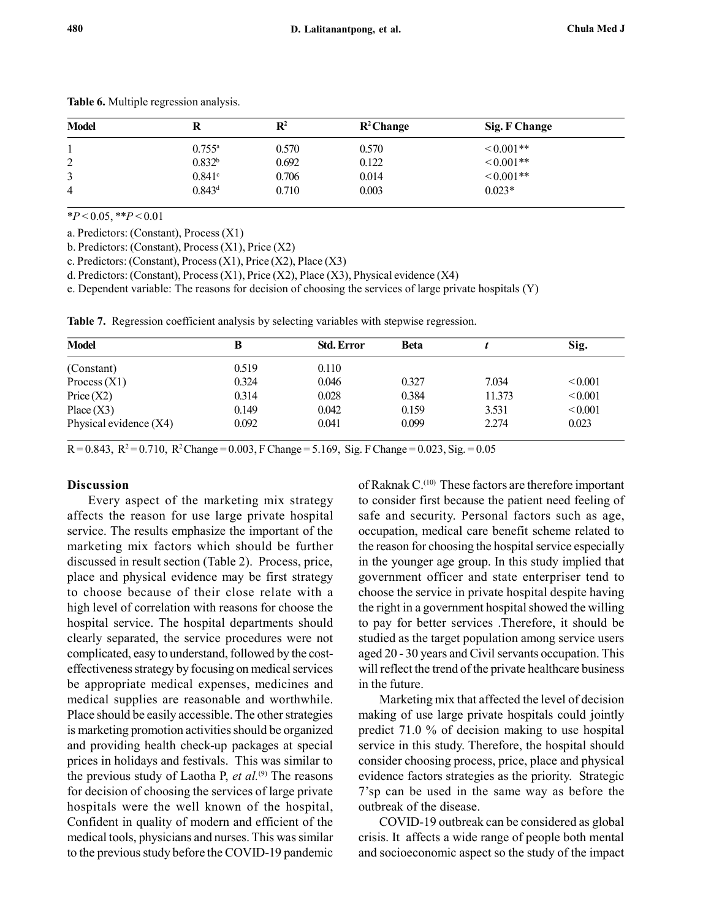| <b>Model</b> |                      | $\mathbf{R}^2$ | $R^2$ Change | Sig. F Change |
|--------------|----------------------|----------------|--------------|---------------|
|              | $0.755^{\rm a}$      | 0.570          | 0.570        | $<0.001**$    |
| C<br>∠       | 0.832 <sup>b</sup>   | 0.692          | 0.122        | $0.001**$     |
| 3            | $0.841$ <sup>c</sup> | 0.706          | 0.014        | $0.001**$     |
| 4            | 0.843 <sup>d</sup>   | 0.710          | 0.003        | $0.023*$      |

Table 6. Multiple regression analysis.

 $*P < 0.05$ ,  $*P < 0.01$ 

a. Predictors: (Constant), Process (X1)

b. Predictors: (Constant), Process (X1), Price (X2)

c. Predictors: (Constant), Process (X1), Price (X2), Place (X3)

d. Predictors: (Constant), Process (X1), Price (X2), Place (X3), Physical evidence (X4)

e. Dependent variable: The reasons for decision of choosing the services of large private hospitals (Y)

Table 7. Regression coefficient analysis by selecting variables with stepwise regression.

| <b>Model</b>           | В     | <b>Std. Error</b> | <b>Beta</b> |        | Sig.    |
|------------------------|-------|-------------------|-------------|--------|---------|
| (Constant)             | 0.519 | 0.110             |             |        |         |
| Process $(X1)$         | 0.324 | 0.046             | 0.327       | 7.034  | < 0.001 |
| Price(X2)              | 0.314 | 0.028             | 0.384       | 11.373 | < 0.001 |
| Place $(X3)$           | 0.149 | 0.042             | 0.159       | 3.531  | < 0.001 |
| Physical evidence (X4) | 0.092 | 0.041             | 0.099       | 2.274  | 0.023   |

 $R = 0.843$ ,  $R^2 = 0.710$ ,  $R^2$ Change = 0.003, F Change = 5.169, Sig. F Change = 0.023, Sig. = 0.05

## Discussion

Every aspect of the marketing mix strategy affects the reason for use large private hospital service. The results emphasize the important of the marketing mix factors which should be further discussed in result section (Table 2). Process, price, place and physical evidence may be first strategy to choose because of their close relate with a high level of correlation with reasons for choose the hospital service. The hospital departments should clearly separated, the service procedures were not complicated, easy to understand, followed by the costeffectiveness strategy by focusing on medical services be appropriate medical expenses, medicines and medical supplies are reasonable and worthwhile. Place should be easily accessible. The other strategies is marketing promotion activities should be organized and providing health check-up packages at special prices in holidays and festivals. This was similar to the previous study of Laotha P, et  $al^{(9)}$  The reasons for decision of choosing the services of large private hospitals were the well known of the hospital, Confident in quality of modern and efficient of the medical tools, physicians and nurses. This was similar to the previous study before the COVID-19 pandemic of Raknak C.<sup>(10)</sup> These factors are therefore important to consider first because the patient need feeling of safe and security. Personal factors such as age, occupation, medical care benefit scheme related to the reason for choosing the hospital service especially in the younger age group. In this study implied that government officer and state enterpriser tend to choose the service in private hospital despite having the right in a government hospital showed the willing to pay for better services .Therefore, it should be studied as the target population among service users aged 20 - 30 years and Civil servants occupation. This will reflect the trend of the private healthcare business in the future.

Marketing mix that affected the level of decision making of use large private hospitals could jointly predict 71.0 % of decision making to use hospital service in this study. Therefore, the hospital should consider choosing process, price, place and physical evidence factors strategies as the priority. Strategic 7'sp can be used in the same way as before the outbreak of the disease.

COVID-19 outbreak can be considered as global crisis. It affects a wide range of people both mental and socioeconomic aspect so the study of the impact